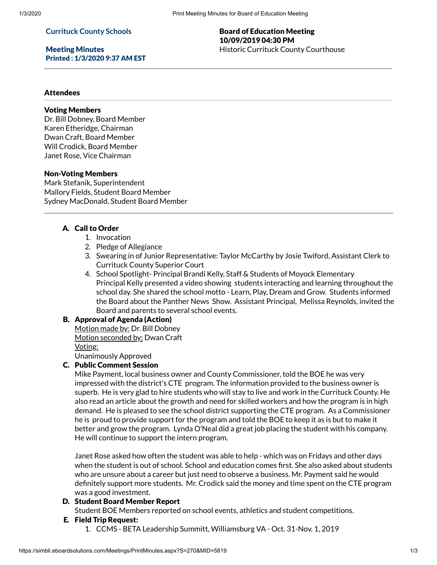#### **Currituck County Schools**

Meeting Minutes Printed : 1/3/2020 9:37 AM EST

## Board of Education Meeting 10/09/2019 04:30 PM Historic Currituck County Courthouse

## Attendees

### Voting Members

Dr. Bill Dobney, Board Member Karen Etheridge, Chairman Dwan Craft, Board Member Will Crodick, Board Member Janet Rose, Vice Chairman

### Non-Voting Members

Mark Stefanik, Superintendent Mallory Fields, Student Board Member Sydney MacDonald, Student Board Member

## A. Call to Order

- 1. Invocation
- 2. Pledge of Allegiance
- 3. Swearing in of Junior Representative: Taylor McCarthy by Josie Twiford, Assistant Clerk to Currituck County Superior Court
- 4. School Spotlight- Principal Brandi Kelly, Staff & Students of Moyock Elementary Principal Kelly presented a video showing students interacting and learning throughout the school day. She shared the school motto - Learn, Play, Dream and Grow. Students informed the Board about the Panther News Show. Assistant Principal, Melissa Reynolds, invited the Board and parents to several school events.

#### B. Approval of Agenda (Action)

Motion made by: Dr. Bill Dobney Motion seconded by: Dwan Craft Voting:

Unanimously Approved

# C. Public Comment Session

Mike Payment, local business owner and County Commissioner, told the BOE he was very impressed with the district's CTE program. The information provided to the business owner is superb. He is very glad to hire students who will stay to live and work in the Currituck County. He also read an article about the growth and need for skilled workers and how the program is in high demand. He is pleased to see the school district supporting the CTE program. As a Commissioner he is proud to provide support for the program and told the BOE to keep it as is but to make it better and grow the program. Lynda O'Neal did a great job placing the student with his company. He will continue to support the intern program.

Janet Rose asked how often the student was able to help - which was on Fridays and other days when the student is out of school. School and education comes first. She also asked about students who are unsure about a career but just need to observe a business. Mr. Payment said he would definitely support more students. Mr. Crodick said the money and time spent on the CTE program was a good investment.

## D. Student Board Member Report

Student BOE Members reported on school events, athletics and student competitions.

- E. Field Trip Request:
	- 1. CCMS BETA Leadership Summitt, Williamsburg VA Oct. 31-Nov. 1, 2019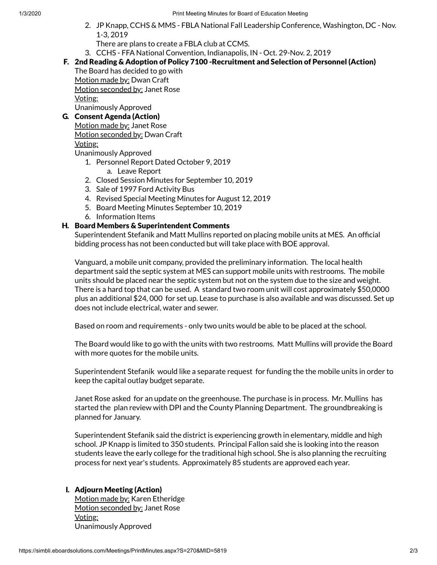- 2. JP Knapp, CCHS & MMS FBLA National Fall Leadership Conference, Washington, DC Nov. 1-3, 2019
	- There are plans to create a FBLA club at CCMS.
- 3. CCHS FFA National Convention, Indianapolis, IN Oct. 29-Nov. 2, 2019
- F. 2nd Reading & Adoption of Policy 7100 -Recruitment and Selection of Personnel (Action)

The Board has decided to go with Motion made by: Dwan Craft Motion seconded by: Janet Rose Voting: Unanimously Approved

# G. Consent Agenda (Action)

| Motion made by: Janet Rose             |
|----------------------------------------|
| <u> Motion seconded by:</u> Dwan Craft |
| <u>Voting:</u>                         |
|                                        |

Unanimously Approved

- 1. Personnel Report Dated October 9, 2019
	- a. Leave Report
- 2. Closed Session Minutes for September 10, 2019
- 3. Sale of 1997 Ford Activity Bus
- 4. Revised Special Meeting Minutes for August 12, 2019
- 5. Board Meeting Minutes September 10, 2019
- 6. Information Items

# H. Board Members & Superintendent Comments

Superintendent Stefanik and Matt Mullins reported on placing mobile units at MES. An official bidding process has not been conducted but will take place with BOE approval.

Vanguard, a mobile unit company, provided the preliminary information. The local health department said the septic system at MES can support mobile units with restrooms. The mobile units should be placed near the septic system but not on the system due to the size and weight. There is a hard top that can be used. A standard two room unit will cost approximately \$50,0000 plus an additional \$24, 000 for set up. Lease to purchase is also available and was discussed. Set up does not include electrical, water and sewer.

Based on room and requirements - only two units would be able to be placed at the school.

The Board would like to go with the units with two restrooms. Matt Mullins will provide the Board with more quotes for the mobile units.

Superintendent Stefanik would like a separate request for funding the the mobile units in order to keep the capital outlay budget separate.

Janet Rose asked for an update on the greenhouse. The purchase is in process. Mr. Mullins has started the plan review with DPI and the County Planning Department. The groundbreaking is planned for January.

Superintendent Stefanik said the district is experiencing growth in elementary, middle and high school. JP Knapp is limited to 350 students. Principal Fallon said she is looking into the reason students leave the early college for the traditional high school. She is also planning the recruiting process for next year's students. Approximately 85 students are approved each year.

# I. Adjourn Meeting (Action)

Motion made by: Karen Etheridge Motion seconded by: Janet Rose Voting: Unanimously Approved